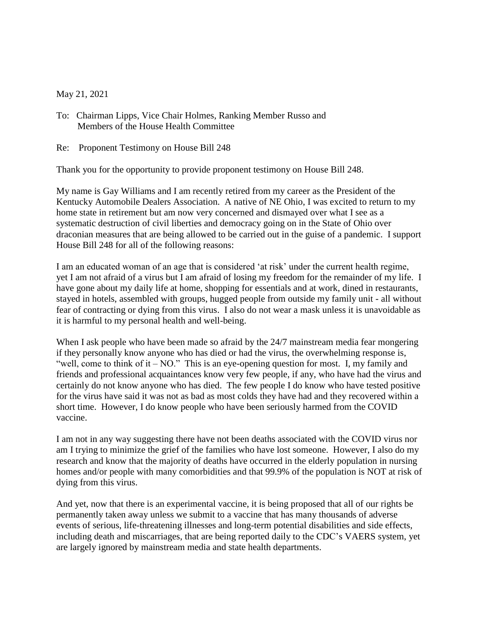May 21, 2021

To: Chairman Lipps, Vice Chair Holmes, Ranking Member Russo and Members of the House Health Committee

Re: Proponent Testimony on House Bill 248

Thank you for the opportunity to provide proponent testimony on House Bill 248.

My name is Gay Williams and I am recently retired from my career as the President of the Kentucky Automobile Dealers Association. A native of NE Ohio, I was excited to return to my home state in retirement but am now very concerned and dismayed over what I see as a systematic destruction of civil liberties and democracy going on in the State of Ohio over draconian measures that are being allowed to be carried out in the guise of a pandemic. I support House Bill 248 for all of the following reasons:

I am an educated woman of an age that is considered 'at risk' under the current health regime, yet I am not afraid of a virus but I am afraid of losing my freedom for the remainder of my life. I have gone about my daily life at home, shopping for essentials and at work, dined in restaurants, stayed in hotels, assembled with groups, hugged people from outside my family unit - all without fear of contracting or dying from this virus. I also do not wear a mask unless it is unavoidable as it is harmful to my personal health and well-being.

When I ask people who have been made so afraid by the 24/7 mainstream media fear mongering if they personally know anyone who has died or had the virus, the overwhelming response is, "well, come to think of it  $-$  NO." This is an eye-opening question for most. I, my family and friends and professional acquaintances know very few people, if any, who have had the virus and certainly do not know anyone who has died. The few people I do know who have tested positive for the virus have said it was not as bad as most colds they have had and they recovered within a short time. However, I do know people who have been seriously harmed from the COVID vaccine.

I am not in any way suggesting there have not been deaths associated with the COVID virus nor am I trying to minimize the grief of the families who have lost someone. However, I also do my research and know that the majority of deaths have occurred in the elderly population in nursing homes and/or people with many comorbidities and that 99.9% of the population is NOT at risk of dying from this virus.

And yet, now that there is an experimental vaccine, it is being proposed that all of our rights be permanently taken away unless we submit to a vaccine that has many thousands of adverse events of serious, life-threatening illnesses and long-term potential disabilities and side effects, including death and miscarriages, that are being reported daily to the CDC's VAERS system, yet are largely ignored by mainstream media and state health departments.